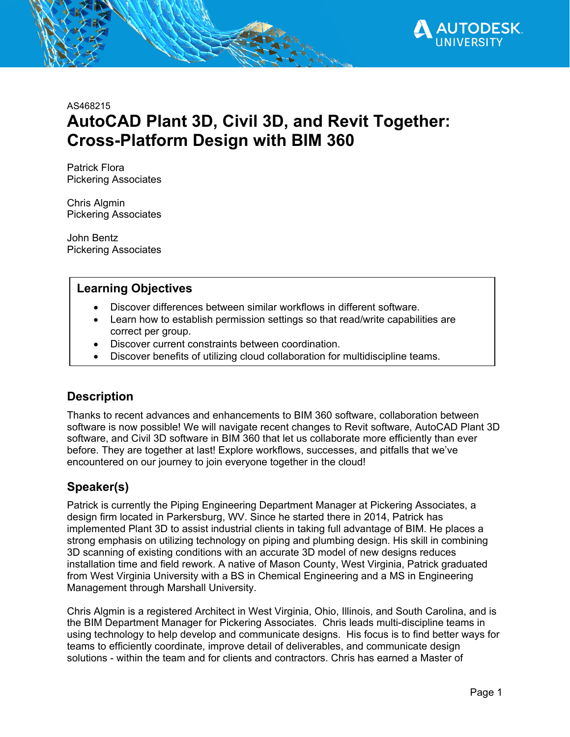

AS468215

# **AutoCAD Plant 3D, Civil 3D, and Revit Together: Cross-Platform Design with BIM 360**

Patrick Flora Pickering Associates

Chris Algmin Pickering Associates

John Bentz Pickering Associates

# **Learning Objectives**

- Discover differences between similar workflows in different software.
- Learn how to establish permission settings so that read/write capabilities are correct per group.
- Discover current constraints between coordination.
- Discover benefits of utilizing cloud collaboration for multidiscipline teams.

# **Description**

Thanks to recent advances and enhancements to BIM 360 software, collaboration between software is now possible! We will navigate recent changes to Revit software, AutoCAD Plant 3D software, and Civil 3D software in BIM 360 that let us collaborate more efficiently than ever before. They are together at last! Explore workflows, successes, and pitfalls that we've encountered on our journey to join everyone together in the cloud!

# **Speaker(s)**

Patrick is currently the Piping Engineering Department Manager at Pickering Associates, a design firm located in Parkersburg, WV. Since he started there in 2014, Patrick has implemented Plant 3D to assist industrial clients in taking full advantage of BIM. He places a strong emphasis on utilizing technology on piping and plumbing design. His skill in combining 3D scanning of existing conditions with an accurate 3D model of new designs reduces installation time and field rework. A native of Mason County, West Virginia, Patrick graduated from West Virginia University with a BS in Chemical Engineering and a MS in Engineering Management through Marshall University.

Chris Algmin is a registered Architect in West Virginia, Ohio, Illinois, and South Carolina, and is the BIM Department Manager for Pickering Associates. Chris leads multi-discipline teams in using technology to help develop and communicate designs. His focus is to find better ways for teams to efficiently coordinate, improve detail of deliverables, and communicate design solutions - within the team and for clients and contractors. Chris has earned a Master of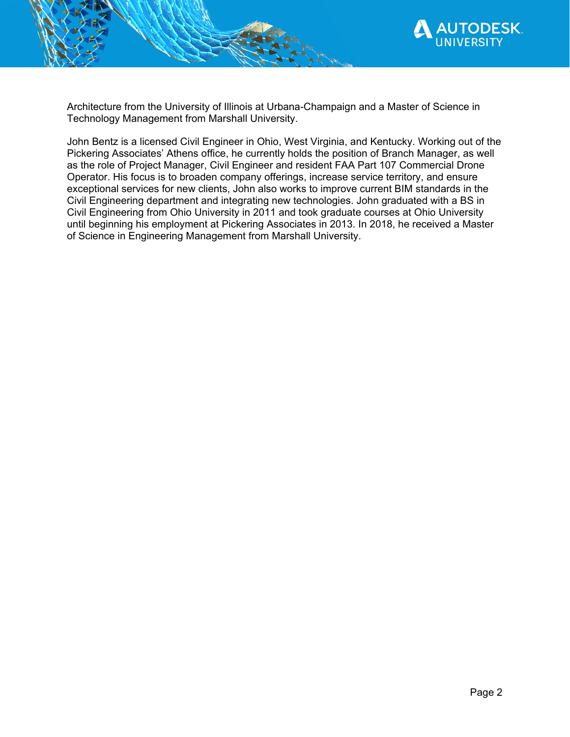

Architecture from the University of Illinois at Urbana-Champaign and a Master of Science in Technology Management from Marshall University.

John Bentz is a licensed Civil Engineer in Ohio, West Virginia, and Kentucky. Working out of the Pickering Associates' Athens office, he currently holds the position of Branch Manager, as well as the role of Project Manager, Civil Engineer and resident FAA Part 107 Commercial Drone Operator. His focus is to broaden company offerings, increase service territory, and ensure exceptional services for new clients, John also works to improve current BIM standards in the Civil Engineering department and integrating new technologies. John graduated with a BS in Civil Engineering from Ohio University in 2011 and took graduate courses at Ohio University until beginning his employment at Pickering Associates in 2013. In 2018, he received a Master of Science in Engineering Management from Marshall University.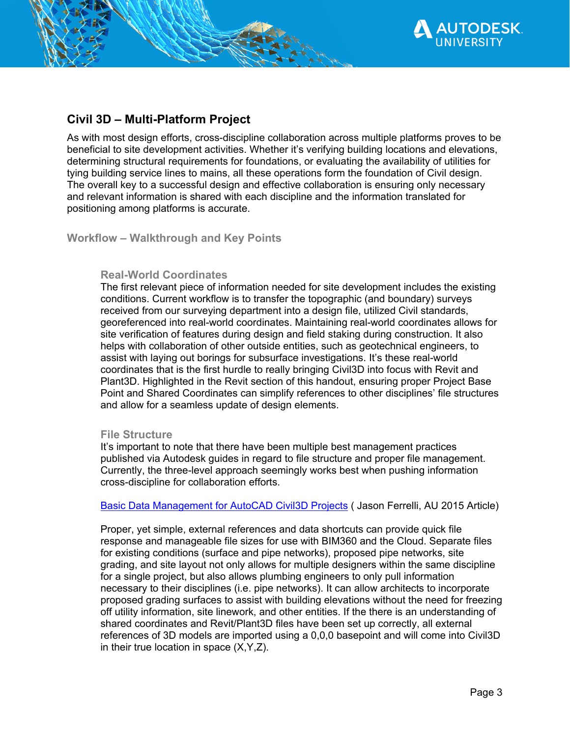

As with most design efforts, cross-discipline collaboration across multiple platforms proves to be beneficial to site development activities. Whether it's verifying building locations and elevations, determining structural requirements for foundations, or evaluating the availability of utilities for tying building service lines to mains, all these operations form the foundation of Civil design. The overall key to a successful design and effective collaboration is ensuring only necessary and relevant information is shared with each discipline and the information translated for positioning among platforms is accurate.

**Workflow – Walkthrough and Key Points** 

## **Real-World Coordinates**

The first relevant piece of information needed for site development includes the existing conditions. Current workflow is to transfer the topographic (and boundary) surveys received from our surveying department into a design file, utilized Civil standards, georeferenced into real-world coordinates. Maintaining real-world coordinates allows for site verification of features during design and field staking during construction. It also helps with collaboration of other outside entities, such as geotechnical engineers, to assist with laying out borings for subsurface investigations. It's these real-world coordinates that is the first hurdle to really bringing Civil3D into focus with Revit and Plant3D. Highlighted in the Revit section of this handout, ensuring proper Project Base Point and Shared Coordinates can simplify references to other disciplines' file structures and allow for a seamless update of design elements.

#### **File Structure**

It's important to note that there have been multiple best management practices published via Autodesk guides in regard to file structure and proper file management. Currently, the three-level approach seemingly works best when pushing information cross-discipline for collaboration efforts.

Basic Data Management for AutoCAD Civil3D Projects ( Jason Ferrelli, AU 2015 Article)

Proper, yet simple, external references and data shortcuts can provide quick file response and manageable file sizes for use with BIM360 and the Cloud. Separate files for existing conditions (surface and pipe networks), proposed pipe networks, site grading, and site layout not only allows for multiple designers within the same discipline for a single project, but also allows plumbing engineers to only pull information necessary to their disciplines (i.e. pipe networks). It can allow architects to incorporate proposed grading surfaces to assist with building elevations without the need for freezing off utility information, site linework, and other entities. If the there is an understanding of shared coordinates and Revit/Plant3D files have been set up correctly, all external references of 3D models are imported using a 0,0,0 basepoint and will come into Civil3D in their true location in space (X,Y,Z).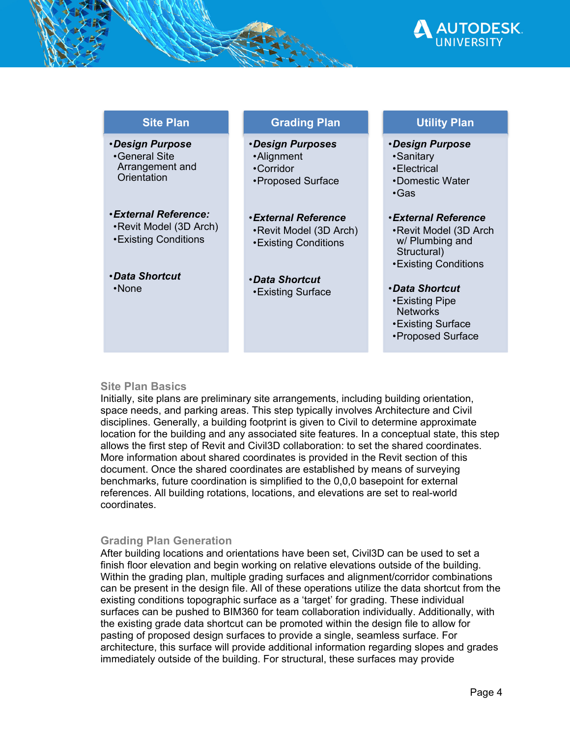

| <b>Site Plan</b>                                                               | <b>Grading Plan</b>                                                           | <b>Utility Plan</b>                                                                                     |
|--------------------------------------------------------------------------------|-------------------------------------------------------------------------------|---------------------------------------------------------------------------------------------------------|
| <b>.Design Purpose</b><br>•General Site<br>Arrangement and<br>Orientation      | ·Design Purposes<br>•Alignment<br>•Corridor<br>•Proposed Surface              | ·Design Purpose<br>•Sanitary<br>•Electrical<br>•Domestic Water<br>$\cdot$ Gas                           |
| <b>.External Reference:</b><br>•Revit Model (3D Arch)<br>• Existing Conditions | <b>.External Reference</b><br>•Revit Model (3D Arch)<br>• Existing Conditions | ∙External Reference<br>•Revit Model (3D Arch<br>w/ Plumbing and<br>Structural)<br>• Existing Conditions |
| <b>•Data Shortcut</b><br>$\cdot$ None                                          | <i><b>•Data Shortcut</b></i><br>• Existing Surface                            | <b>•Data Shortcut</b><br>•Existing Pipe<br><b>Networks</b><br>• Existing Surface<br>•Proposed Surface   |

# **Site Plan Basics**

Initially, site plans are preliminary site arrangements, including building orientation, space needs, and parking areas. This step typically involves Architecture and Civil disciplines. Generally, a building footprint is given to Civil to determine approximate location for the building and any associated site features. In a conceptual state, this step allows the first step of Revit and Civil3D collaboration: to set the shared coordinates. More information about shared coordinates is provided in the Revit section of this document. Once the shared coordinates are established by means of surveying benchmarks, future coordination is simplified to the 0,0,0 basepoint for external references. All building rotations, locations, and elevations are set to real-world coordinates.

# **Grading Plan Generation**

After building locations and orientations have been set, Civil3D can be used to set a finish floor elevation and begin working on relative elevations outside of the building. Within the grading plan, multiple grading surfaces and alignment/corridor combinations can be present in the design file. All of these operations utilize the data shortcut from the existing conditions topographic surface as a 'target' for grading. These individual surfaces can be pushed to BIM360 for team collaboration individually. Additionally, with the existing grade data shortcut can be promoted within the design file to allow for pasting of proposed design surfaces to provide a single, seamless surface. For architecture, this surface will provide additional information regarding slopes and grades immediately outside of the building. For structural, these surfaces may provide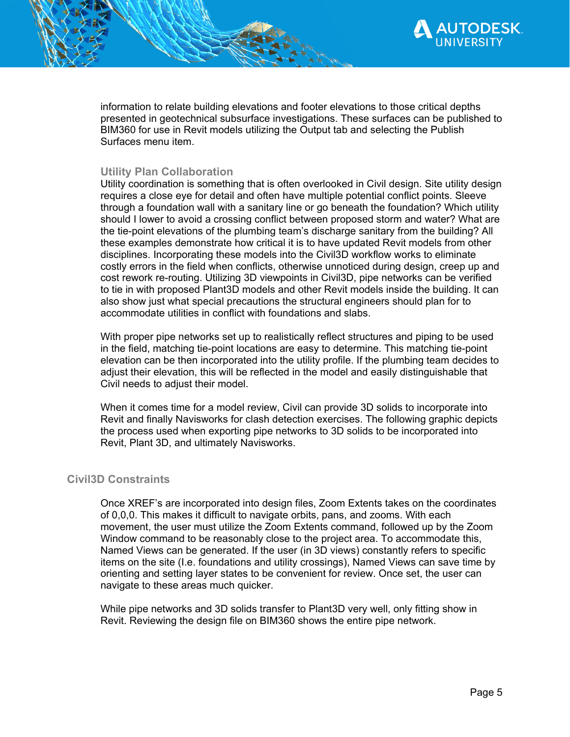

information to relate building elevations and footer elevations to those critical depths presented in geotechnical subsurface investigations. These surfaces can be published to BIM360 for use in Revit models utilizing the Output tab and selecting the Publish Surfaces menu item.

# **Utility Plan Collaboration**

Utility coordination is something that is often overlooked in Civil design. Site utility design requires a close eye for detail and often have multiple potential conflict points. Sleeve through a foundation wall with a sanitary line or go beneath the foundation? Which utility should I lower to avoid a crossing conflict between proposed storm and water? What are the tie-point elevations of the plumbing team's discharge sanitary from the building? All these examples demonstrate how critical it is to have updated Revit models from other disciplines. Incorporating these models into the Civil3D workflow works to eliminate costly errors in the field when conflicts, otherwise unnoticed during design, creep up and cost rework re-routing. Utilizing 3D viewpoints in Civil3D, pipe networks can be verified to tie in with proposed Plant3D models and other Revit models inside the building. It can also show just what special precautions the structural engineers should plan for to accommodate utilities in conflict with foundations and slabs.

With proper pipe networks set up to realistically reflect structures and piping to be used in the field, matching tie-point locations are easy to determine. This matching tie-point elevation can be then incorporated into the utility profile. If the plumbing team decides to adjust their elevation, this will be reflected in the model and easily distinguishable that Civil needs to adjust their model.

When it comes time for a model review, Civil can provide 3D solids to incorporate into Revit and finally Navisworks for clash detection exercises. The following graphic depicts the process used when exporting pipe networks to 3D solids to be incorporated into Revit, Plant 3D, and ultimately Navisworks.

# **Civil3D Constraints**

Once XREF's are incorporated into design files, Zoom Extents takes on the coordinates of 0,0,0. This makes it difficult to navigate orbits, pans, and zooms. With each movement, the user must utilize the Zoom Extents command, followed up by the Zoom Window command to be reasonably close to the project area. To accommodate this, Named Views can be generated. If the user (in 3D views) constantly refers to specific items on the site (I.e. foundations and utility crossings), Named Views can save time by orienting and setting layer states to be convenient for review. Once set, the user can navigate to these areas much quicker.

While pipe networks and 3D solids transfer to Plant3D very well, only fitting show in Revit. Reviewing the design file on BIM360 shows the entire pipe network.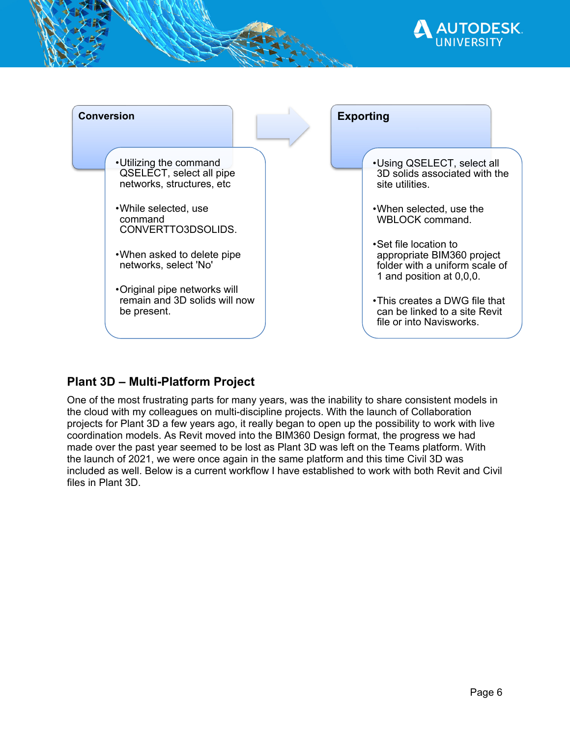



# **Plant 3D – Multi-Platform Project**

One of the most frustrating parts for many years, was the inability to share consistent models in the cloud with my colleagues on multi-discipline projects. With the launch of Collaboration projects for Plant 3D a few years ago, it really began to open up the possibility to work with live coordination models. As Revit moved into the BIM360 Design format, the progress we had made over the past year seemed to be lost as Plant 3D was left on the Teams platform. With the launch of 2021, we were once again in the same platform and this time Civil 3D was included as well. Below is a current workflow I have established to work with both Revit and Civil files in Plant 3D.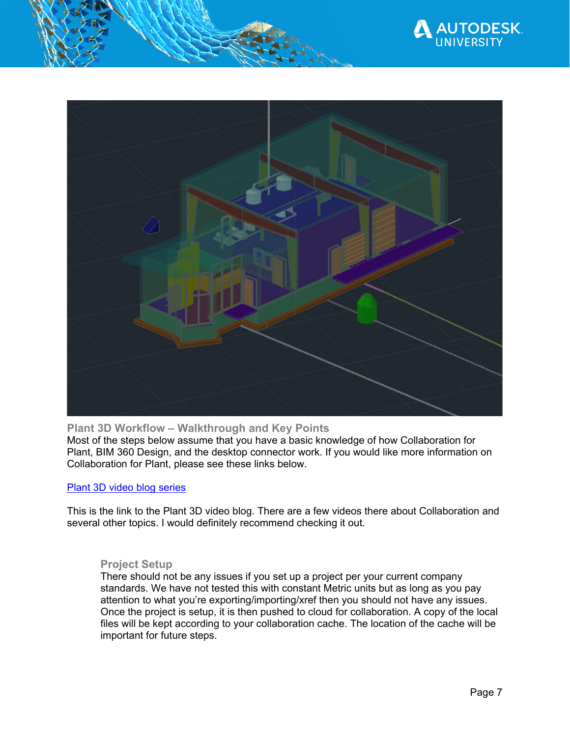



**Plant 3D Workflow – Walkthrough and Key Points**  Most of the steps below assume that you have a basic knowledge of how Collaboration for Plant, BIM 360 Design, and the desktop connector work. If you would like more information on Collaboration for Plant, please see these links below.

# Plant 3D video blog series

This is the link to the Plant 3D video blog. There are a few videos there about Collaboration and several other topics. I would definitely recommend checking it out.

# **Project Setup**

There should not be any issues if you set up a project per your current company standards. We have not tested this with constant Metric units but as long as you pay attention to what you're exporting/importing/xref then you should not have any issues. Once the project is setup, it is then pushed to cloud for collaboration. A copy of the local files will be kept according to your collaboration cache. The location of the cache will be important for future steps.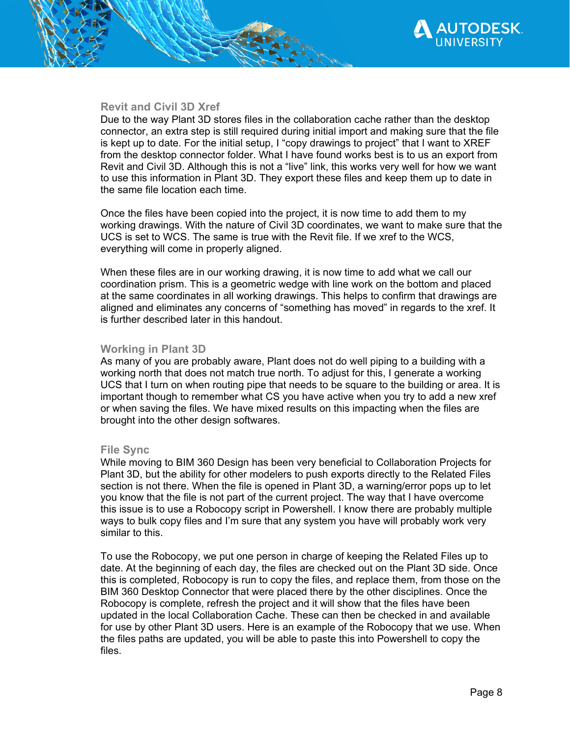



## **Revit and Civil 3D Xref**

Due to the way Plant 3D stores files in the collaboration cache rather than the desktop connector, an extra step is still required during initial import and making sure that the file is kept up to date. For the initial setup, I "copy drawings to project" that I want to XREF from the desktop connector folder. What I have found works best is to us an export from Revit and Civil 3D. Although this is not a "live" link, this works very well for how we want to use this information in Plant 3D. They export these files and keep them up to date in the same file location each time.

Once the files have been copied into the project, it is now time to add them to my working drawings. With the nature of Civil 3D coordinates, we want to make sure that the UCS is set to WCS. The same is true with the Revit file. If we xref to the WCS, everything will come in properly aligned.

When these files are in our working drawing, it is now time to add what we call our coordination prism. This is a geometric wedge with line work on the bottom and placed at the same coordinates in all working drawings. This helps to confirm that drawings are aligned and eliminates any concerns of "something has moved" in regards to the xref. It is further described later in this handout.

# **Working in Plant 3D**

As many of you are probably aware, Plant does not do well piping to a building with a working north that does not match true north. To adjust for this, I generate a working UCS that I turn on when routing pipe that needs to be square to the building or area. It is important though to remember what CS you have active when you try to add a new xref or when saving the files. We have mixed results on this impacting when the files are brought into the other design softwares.

#### **File Sync**

While moving to BIM 360 Design has been very beneficial to Collaboration Projects for Plant 3D, but the ability for other modelers to push exports directly to the Related Files section is not there. When the file is opened in Plant 3D, a warning/error pops up to let you know that the file is not part of the current project. The way that I have overcome this issue is to use a Robocopy script in Powershell. I know there are probably multiple ways to bulk copy files and I'm sure that any system you have will probably work very similar to this.

To use the Robocopy, we put one person in charge of keeping the Related Files up to date. At the beginning of each day, the files are checked out on the Plant 3D side. Once this is completed, Robocopy is run to copy the files, and replace them, from those on the BIM 360 Desktop Connector that were placed there by the other disciplines. Once the Robocopy is complete, refresh the project and it will show that the files have been updated in the local Collaboration Cache. These can then be checked in and available for use by other Plant 3D users. Here is an example of the Robocopy that we use. When the files paths are updated, you will be able to paste this into Powershell to copy the files.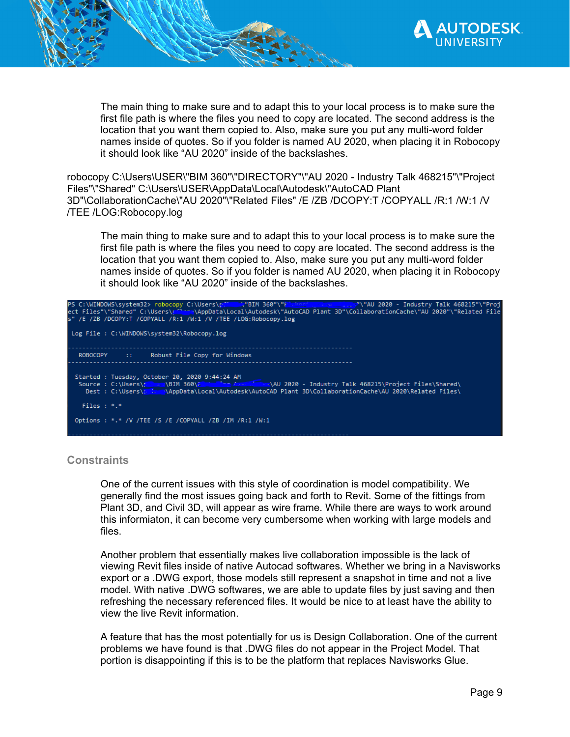

The main thing to make sure and to adapt this to your local process is to make sure the first file path is where the files you need to copy are located. The second address is the location that you want them copied to. Also, make sure you put any multi-word folder names inside of quotes. So if you folder is named AU 2020, when placing it in Robocopy it should look like "AU 2020" inside of the backslashes.

robocopy C:\Users\USER\"BIM 360"\"DIRECTORY"\"AU 2020 - Industry Talk 468215"\"Project Files"\"Shared" C:\Users\USER\AppData\Local\Autodesk\"AutoCAD Plant 3D"\CollaborationCache\"AU 2020"\"Related Files" /E /ZB /DCOPY:T /COPYALL /R:1 /W:1 /V /TEE /LOG:Robocopy.log

The main thing to make sure and to adapt this to your local process is to make sure the first file path is where the files you need to copy are located. The second address is the location that you want them copied to. Also, make sure you put any multi-word folder names inside of quotes. So if you folder is named AU 2020, when placing it in Robocopy it should look like "AU 2020" inside of the backslashes.

| PS C:\WINDOWS\system32> robocopy C:\Users\p: \miss\p: \miss\p: \miss\p: \miss\ps\right\miss\ps\right\miss\ps\right\miss\ps\right\miss\ps\right\miss\ps\right\miss\ps\right\miss\ps\right\miss\ps\right\miss\ps\right\miss\ps\r<br>ect Files"\"Shared" C:\Users\r <sup>en</sup> =me\AppData\Local\Autodesk\"AutoCAD Plant 3D"\CollaborationCache\"AU 2020"\"Related File<br>S" /E /ZB /DCOPY:T /COPYALL /R:1 /W:1 /V /TEE /LOG:Robocopy.log |  |  |  |  |  |
|--------------------------------------------------------------------------------------------------------------------------------------------------------------------------------------------------------------------------------------------------------------------------------------------------------------------------------------------------------------------------------------------------------------------------------------------|--|--|--|--|--|
| Log File: C:\WINDOWS\system32\Robocopy.log                                                                                                                                                                                                                                                                                                                                                                                                 |  |  |  |  |  |
| ROBOCOPY :: Robust File Copy for Windows                                                                                                                                                                                                                                                                                                                                                                                                   |  |  |  |  |  |
| Started : Tuesday, October 20, 2020 9:44:24 AM<br>Source : C:\Users\r \BIM 360\F is responsible \\AU 2020 - Industry Talk 468215\Project Files\Shared\                                                                                                                                                                                                                                                                                     |  |  |  |  |  |
| Files $: *.*$                                                                                                                                                                                                                                                                                                                                                                                                                              |  |  |  |  |  |
| Options : *.* /V /TEE /S /E /COPYALL /ZB /IM /R:1 /W:1                                                                                                                                                                                                                                                                                                                                                                                     |  |  |  |  |  |

# **Constraints**

One of the current issues with this style of coordination is model compatibility. We generally find the most issues going back and forth to Revit. Some of the fittings from Plant 3D, and Civil 3D, will appear as wire frame. While there are ways to work around this informiaton, it can become very cumbersome when working with large models and files.

Another problem that essentially makes live collaboration impossible is the lack of viewing Revit files inside of native Autocad softwares. Whether we bring in a Navisworks export or a .DWG export, those models still represent a snapshot in time and not a live model. With native .DWG softwares, we are able to update files by just saving and then refreshing the necessary referenced files. It would be nice to at least have the ability to view the live Revit information.

A feature that has the most potentially for us is Design Collaboration. One of the current problems we have found is that .DWG files do not appear in the Project Model. That portion is disappointing if this is to be the platform that replaces Navisworks Glue.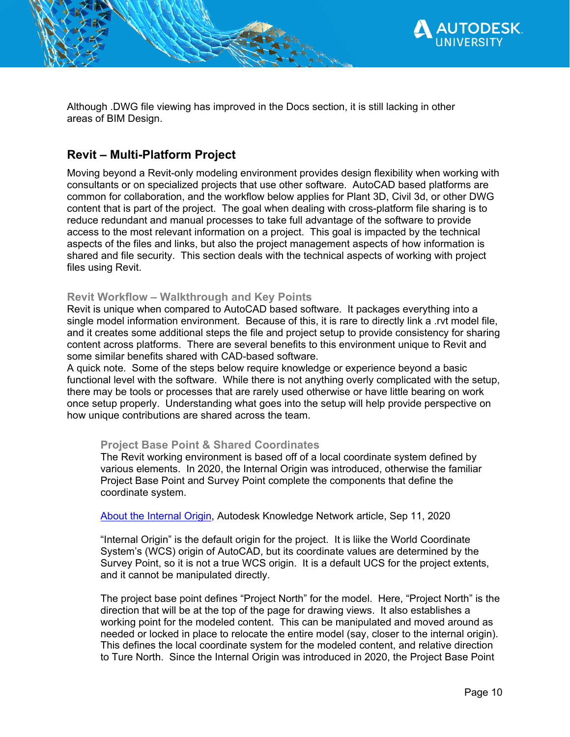

Although .DWG file viewing has improved in the Docs section, it is still lacking in other areas of BIM Design.

# **Revit – Multi-Platform Project**

Moving beyond a Revit-only modeling environment provides design flexibility when working with consultants or on specialized projects that use other software. AutoCAD based platforms are common for collaboration, and the workflow below applies for Plant 3D, Civil 3d, or other DWG content that is part of the project. The goal when dealing with cross-platform file sharing is to reduce redundant and manual processes to take full advantage of the software to provide access to the most relevant information on a project. This goal is impacted by the technical aspects of the files and links, but also the project management aspects of how information is shared and file security. This section deals with the technical aspects of working with project files using Revit.

# **Revit Workflow – Walkthrough and Key Points**

Revit is unique when compared to AutoCAD based software. It packages everything into a single model information environment. Because of this, it is rare to directly link a .rvt model file, and it creates some additional steps the file and project setup to provide consistency for sharing content across platforms. There are several benefits to this environment unique to Revit and some similar benefits shared with CAD-based software.

A quick note. Some of the steps below require knowledge or experience beyond a basic functional level with the software. While there is not anything overly complicated with the setup, there may be tools or processes that are rarely used otherwise or have little bearing on work once setup properly. Understanding what goes into the setup will help provide perspective on how unique contributions are shared across the team.

# **Project Base Point & Shared Coordinates**

The Revit working environment is based off of a local coordinate system defined by various elements. In 2020, the Internal Origin was introduced, otherwise the familiar Project Base Point and Survey Point complete the components that define the coordinate system.

About the Internal Origin, Autodesk Knowledge Network article, Sep 11, 2020

"Internal Origin" is the default origin for the project. It is liike the World Coordinate System's (WCS) origin of AutoCAD, but its coordinate values are determined by the Survey Point, so it is not a true WCS origin. It is a default UCS for the project extents, and it cannot be manipulated directly.

The project base point defines "Project North" for the model. Here, "Project North" is the direction that will be at the top of the page for drawing views. It also establishes a working point for the modeled content. This can be manipulated and moved around as needed or locked in place to relocate the entire model (say, closer to the internal origin). This defines the local coordinate system for the modeled content, and relative direction to Ture North. Since the Internal Origin was introduced in 2020, the Project Base Point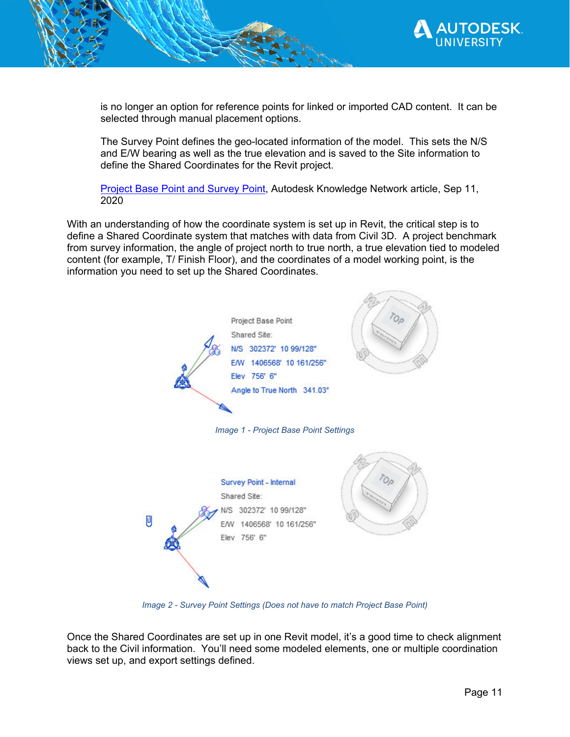

is no longer an option for reference points for linked or imported CAD content. It can be selected through manual placement options.

The Survey Point defines the geo-located information of the model. This sets the N/S and E/W bearing as well as the true elevation and is saved to the Site information to define the Shared Coordinates for the Revit project.

Project Base Point and Survey Point, Autodesk Knowledge Network article, Sep 11, 2020

With an understanding of how the coordinate system is set up in Revit, the critical step is to define a Shared Coordinate system that matches with data from Civil 3D. A project benchmark from survey information, the angle of project north to true north, a true elevation tied to modeled content (for example, T/ Finish Floor), and the coordinates of a model working point, is the information you need to set up the Shared Coordinates.



*Image 2 - Survey Point Settings (Does not have to match Project Base Point)* 

Once the Shared Coordinates are set up in one Revit model, it's a good time to check alignment back to the Civil information. You'll need some modeled elements, one or multiple coordination views set up, and export settings defined.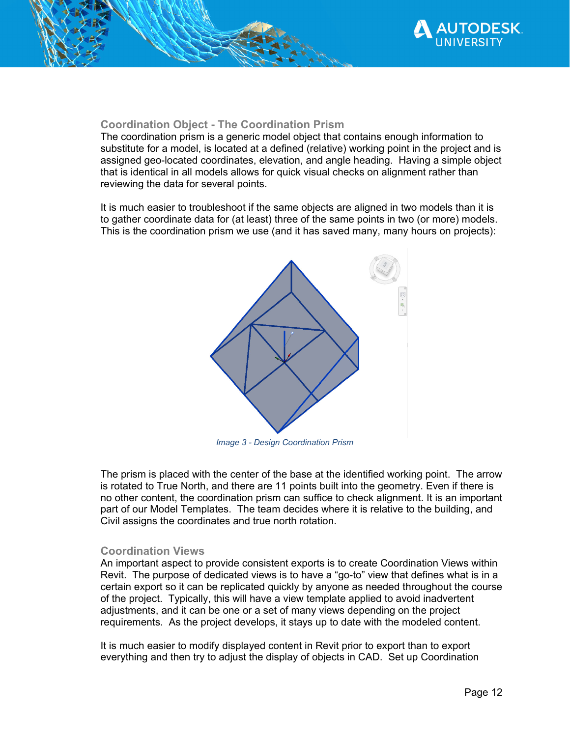

#### **Coordination Object - The Coordination Prism**

The coordination prism is a generic model object that contains enough information to substitute for a model, is located at a defined (relative) working point in the project and is assigned geo-located coordinates, elevation, and angle heading. Having a simple object that is identical in all models allows for quick visual checks on alignment rather than reviewing the data for several points.

It is much easier to troubleshoot if the same objects are aligned in two models than it is to gather coordinate data for (at least) three of the same points in two (or more) models. This is the coordination prism we use (and it has saved many, many hours on projects):



*Image 3 - Design Coordination Prism* 

The prism is placed with the center of the base at the identified working point. The arrow is rotated to True North, and there are 11 points built into the geometry. Even if there is no other content, the coordination prism can suffice to check alignment. It is an important part of our Model Templates. The team decides where it is relative to the building, and Civil assigns the coordinates and true north rotation.

#### **Coordination Views**

An important aspect to provide consistent exports is to create Coordination Views within Revit. The purpose of dedicated views is to have a "go-to" view that defines what is in a certain export so it can be replicated quickly by anyone as needed throughout the course of the project. Typically, this will have a view template applied to avoid inadvertent adjustments, and it can be one or a set of many views depending on the project requirements. As the project develops, it stays up to date with the modeled content.

It is much easier to modify displayed content in Revit prior to export than to export everything and then try to adjust the display of objects in CAD. Set up Coordination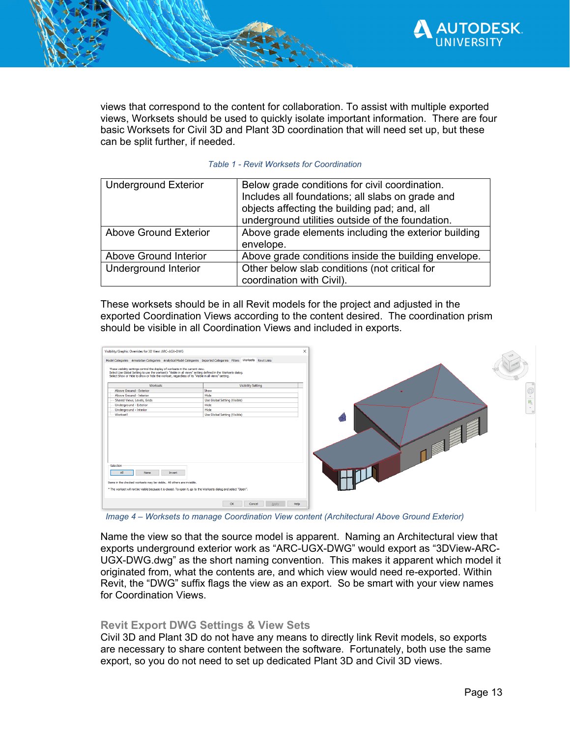

views that correspond to the content for collaboration. To assist with multiple exported views, Worksets should be used to quickly isolate important information. There are four basic Worksets for Civil 3D and Plant 3D coordination that will need set up, but these can be split further, if needed.

#### *Table 1 - Revit Worksets for Coordination*

| <b>Underground Exterior</b>  | Below grade conditions for civil coordination.<br>Includes all foundations; all slabs on grade and<br>objects affecting the building pad; and, all<br>underground utilities outside of the foundation. |
|------------------------------|--------------------------------------------------------------------------------------------------------------------------------------------------------------------------------------------------------|
| <b>Above Ground Exterior</b> | Above grade elements including the exterior building<br>envelope.                                                                                                                                      |
| Above Ground Interior        | Above grade conditions inside the building envelope.                                                                                                                                                   |
| Underground Interior         | Other below slab conditions (not critical for<br>coordination with Civil).                                                                                                                             |

These worksets should be in all Revit models for the project and adjusted in the exported Coordination Views according to the content desired. The coordination prism should be visible in all Coordination Views and included in exports.



*Image 4 – Worksets to manage Coordination View content (Architectural Above Ground Exterior)* 

Name the view so that the source model is apparent. Naming an Architectural view that exports underground exterior work as "ARC-UGX-DWG" would export as "3DView-ARC-UGX-DWG.dwg" as the short naming convention. This makes it apparent which model it originated from, what the contents are, and which view would need re-exported. Within Revit, the "DWG" suffix flags the view as an export. So be smart with your view names for Coordination Views.

#### **Revit Export DWG Settings & View Sets**

Civil 3D and Plant 3D do not have any means to directly link Revit models, so exports are necessary to share content between the software. Fortunately, both use the same export, so you do not need to set up dedicated Plant 3D and Civil 3D views.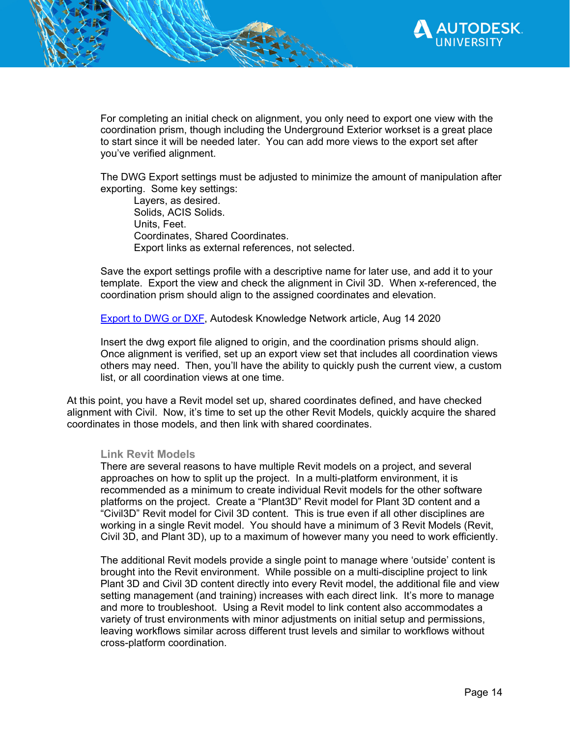

For completing an initial check on alignment, you only need to export one view with the coordination prism, though including the Underground Exterior workset is a great place to start since it will be needed later. You can add more views to the export set after you've verified alignment.

The DWG Export settings must be adjusted to minimize the amount of manipulation after exporting. Some key settings:

Layers, as desired. Solids, ACIS Solids. Units, Feet. Coordinates, Shared Coordinates. Export links as external references, not selected.

Save the export settings profile with a descriptive name for later use, and add it to your template. Export the view and check the alignment in Civil 3D. When x-referenced, the coordination prism should align to the assigned coordinates and elevation.

Export to DWG or DXF, Autodesk Knowledge Network article, Aug 14 2020

Insert the dwg export file aligned to origin, and the coordination prisms should align. Once alignment is verified, set up an export view set that includes all coordination views others may need. Then, you'll have the ability to quickly push the current view, a custom list, or all coordination views at one time.

At this point, you have a Revit model set up, shared coordinates defined, and have checked alignment with Civil. Now, it's time to set up the other Revit Models, quickly acquire the shared coordinates in those models, and then link with shared coordinates.

#### **Link Revit Models**

There are several reasons to have multiple Revit models on a project, and several approaches on how to split up the project. In a multi-platform environment, it is recommended as a minimum to create individual Revit models for the other software platforms on the project. Create a "Plant3D" Revit model for Plant 3D content and a "Civil3D" Revit model for Civil 3D content. This is true even if all other disciplines are working in a single Revit model. You should have a minimum of 3 Revit Models (Revit, Civil 3D, and Plant 3D), up to a maximum of however many you need to work efficiently.

The additional Revit models provide a single point to manage where 'outside' content is brought into the Revit environment. While possible on a multi-discipline project to link Plant 3D and Civil 3D content directly into every Revit model, the additional file and view setting management (and training) increases with each direct link. It's more to manage and more to troubleshoot. Using a Revit model to link content also accommodates a variety of trust environments with minor adjustments on initial setup and permissions, leaving workflows similar across different trust levels and similar to workflows without cross-platform coordination.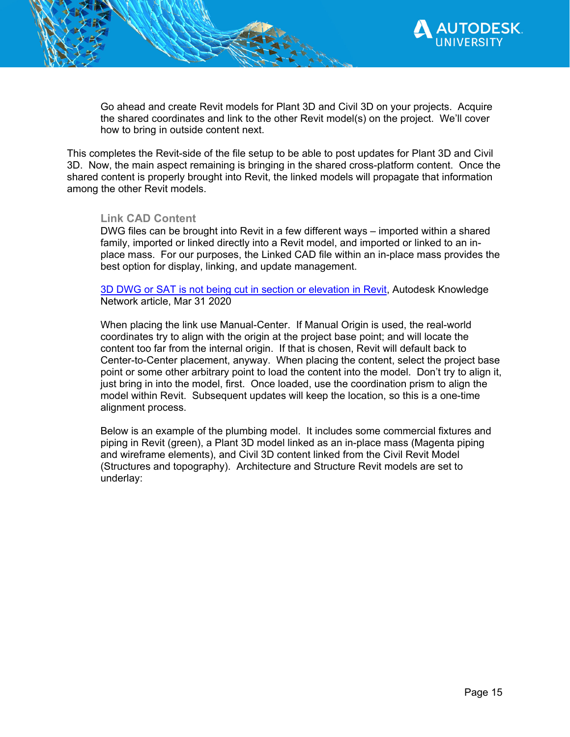

Go ahead and create Revit models for Plant 3D and Civil 3D on your projects. Acquire the shared coordinates and link to the other Revit model(s) on the project. We'll cover how to bring in outside content next.

This completes the Revit-side of the file setup to be able to post updates for Plant 3D and Civil 3D. Now, the main aspect remaining is bringing in the shared cross-platform content. Once the shared content is properly brought into Revit, the linked models will propagate that information among the other Revit models.

#### **Link CAD Content**

DWG files can be brought into Revit in a few different ways – imported within a shared family, imported or linked directly into a Revit model, and imported or linked to an inplace mass. For our purposes, the Linked CAD file within an in-place mass provides the best option for display, linking, and update management.

3D DWG or SAT is not being cut in section or elevation in Revit, Autodesk Knowledge Network article, Mar 31 2020

When placing the link use Manual-Center. If Manual Origin is used, the real-world coordinates try to align with the origin at the project base point; and will locate the content too far from the internal origin. If that is chosen, Revit will default back to Center-to-Center placement, anyway. When placing the content, select the project base point or some other arbitrary point to load the content into the model. Don't try to align it, just bring in into the model, first. Once loaded, use the coordination prism to align the model within Revit. Subsequent updates will keep the location, so this is a one-time alignment process.

Below is an example of the plumbing model. It includes some commercial fixtures and piping in Revit (green), a Plant 3D model linked as an in-place mass (Magenta piping and wireframe elements), and Civil 3D content linked from the Civil Revit Model (Structures and topography). Architecture and Structure Revit models are set to underlay: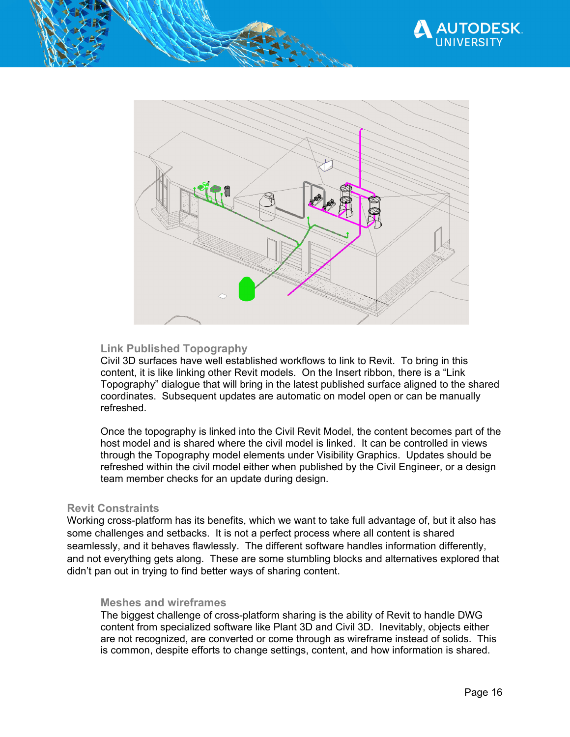



# **Link Published Topography**

Civil 3D surfaces have well established workflows to link to Revit. To bring in this content, it is like linking other Revit models. On the Insert ribbon, there is a "Link Topography" dialogue that will bring in the latest published surface aligned to the shared coordinates. Subsequent updates are automatic on model open or can be manually refreshed.

Once the topography is linked into the Civil Revit Model, the content becomes part of the host model and is shared where the civil model is linked. It can be controlled in views through the Topography model elements under Visibility Graphics. Updates should be refreshed within the civil model either when published by the Civil Engineer, or a design team member checks for an update during design.

#### **Revit Constraints**

Working cross-platform has its benefits, which we want to take full advantage of, but it also has some challenges and setbacks. It is not a perfect process where all content is shared seamlessly, and it behaves flawlessly. The different software handles information differently, and not everything gets along. These are some stumbling blocks and alternatives explored that didn't pan out in trying to find better ways of sharing content.

#### **Meshes and wireframes**

The biggest challenge of cross-platform sharing is the ability of Revit to handle DWG content from specialized software like Plant 3D and Civil 3D. Inevitably, objects either are not recognized, are converted or come through as wireframe instead of solids. This is common, despite efforts to change settings, content, and how information is shared.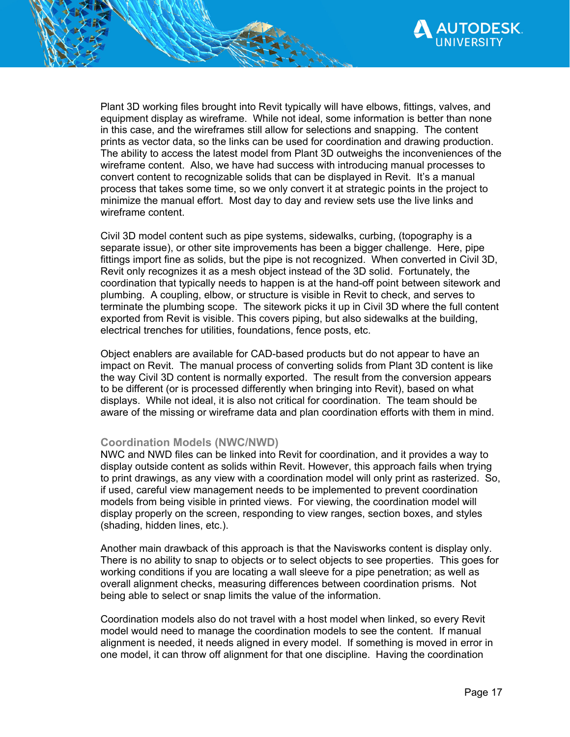

Plant 3D working files brought into Revit typically will have elbows, fittings, valves, and equipment display as wireframe. While not ideal, some information is better than none in this case, and the wireframes still allow for selections and snapping. The content prints as vector data, so the links can be used for coordination and drawing production. The ability to access the latest model from Plant 3D outweighs the inconveniences of the wireframe content. Also, we have had success with introducing manual processes to convert content to recognizable solids that can be displayed in Revit. It's a manual process that takes some time, so we only convert it at strategic points in the project to minimize the manual effort. Most day to day and review sets use the live links and wireframe content.

Civil 3D model content such as pipe systems, sidewalks, curbing, (topography is a separate issue), or other site improvements has been a bigger challenge. Here, pipe fittings import fine as solids, but the pipe is not recognized. When converted in Civil 3D, Revit only recognizes it as a mesh object instead of the 3D solid. Fortunately, the coordination that typically needs to happen is at the hand-off point between sitework and plumbing. A coupling, elbow, or structure is visible in Revit to check, and serves to terminate the plumbing scope. The sitework picks it up in Civil 3D where the full content exported from Revit is visible. This covers piping, but also sidewalks at the building, electrical trenches for utilities, foundations, fence posts, etc.

Object enablers are available for CAD-based products but do not appear to have an impact on Revit. The manual process of converting solids from Plant 3D content is like the way Civil 3D content is normally exported. The result from the conversion appears to be different (or is processed differently when bringing into Revit), based on what displays. While not ideal, it is also not critical for coordination. The team should be aware of the missing or wireframe data and plan coordination efforts with them in mind.

#### **Coordination Models (NWC/NWD)**

NWC and NWD files can be linked into Revit for coordination, and it provides a way to display outside content as solids within Revit. However, this approach fails when trying to print drawings, as any view with a coordination model will only print as rasterized. So, if used, careful view management needs to be implemented to prevent coordination models from being visible in printed views. For viewing, the coordination model will display properly on the screen, responding to view ranges, section boxes, and styles (shading, hidden lines, etc.).

Another main drawback of this approach is that the Navisworks content is display only. There is no ability to snap to objects or to select objects to see properties. This goes for working conditions if you are locating a wall sleeve for a pipe penetration; as well as overall alignment checks, measuring differences between coordination prisms. Not being able to select or snap limits the value of the information.

Coordination models also do not travel with a host model when linked, so every Revit model would need to manage the coordination models to see the content. If manual alignment is needed, it needs aligned in every model. If something is moved in error in one model, it can throw off alignment for that one discipline. Having the coordination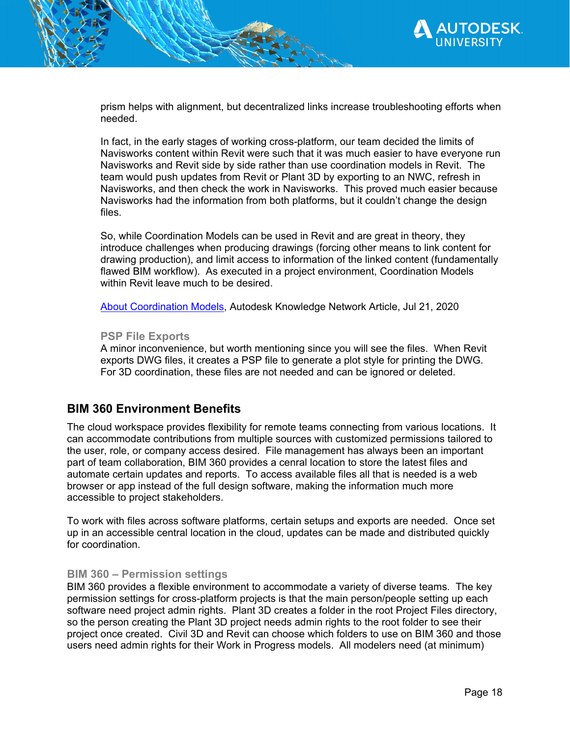

prism helps with alignment, but decentralized links increase troubleshooting efforts when needed.

In fact, in the early stages of working cross-platform, our team decided the limits of Navisworks content within Revit were such that it was much easier to have everyone run Navisworks and Revit side by side rather than use coordination models in Revit. The team would push updates from Revit or Plant 3D by exporting to an NWC, refresh in Navisworks, and then check the work in Navisworks. This proved much easier because Navisworks had the information from both platforms, but it couldn't change the design files.

So, while Coordination Models can be used in Revit and are great in theory, they introduce challenges when producing drawings (forcing other means to link content for drawing production), and limit access to information of the linked content (fundamentally flawed BIM workflow). As executed in a project environment, Coordination Models within Revit leave much to be desired.

About Coordination Models, Autodesk Knowledge Network Article, Jul 21, 2020

#### **PSP File Exports**

A minor inconvenience, but worth mentioning since you will see the files. When Revit exports DWG files, it creates a PSP file to generate a plot style for printing the DWG. For 3D coordination, these files are not needed and can be ignored or deleted.

# **BIM 360 Environment Benefits**

The cloud workspace provides flexibility for remote teams connecting from various locations. It can accommodate contributions from multiple sources with customized permissions tailored to the user, role, or company access desired. File management has always been an important part of team collaboration, BIM 360 provides a cenral location to store the latest files and automate certain updates and reports. To access available files all that is needed is a web browser or app instead of the full design software, making the information much more accessible to project stakeholders.

To work with files across software platforms, certain setups and exports are needed. Once set up in an accessible central location in the cloud, updates can be made and distributed quickly for coordination.

#### **BIM 360 – Permission settings**

BIM 360 provides a flexible environment to accommodate a variety of diverse teams. The key permission settings for cross-platform projects is that the main person/people setting up each software need project admin rights. Plant 3D creates a folder in the root Project Files directory, so the person creating the Plant 3D project needs admin rights to the root folder to see their project once created. Civil 3D and Revit can choose which folders to use on BIM 360 and those users need admin rights for their Work in Progress models. All modelers need (at minimum)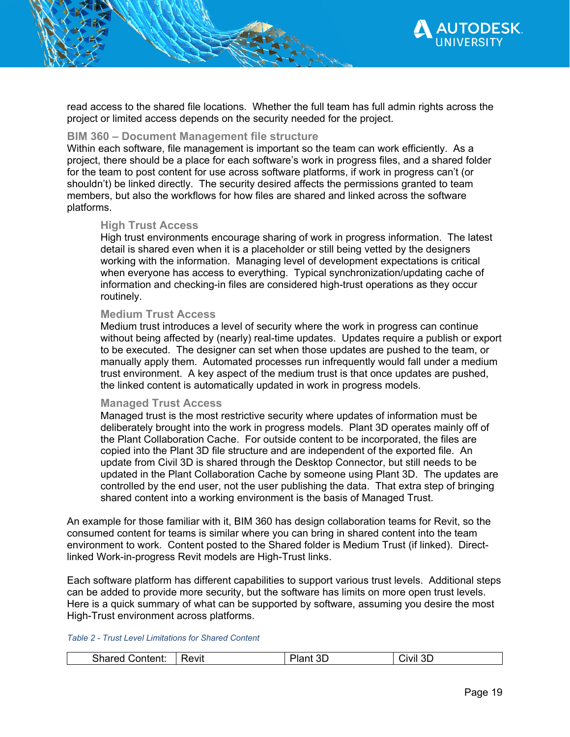

read access to the shared file locations. Whether the full team has full admin rights across the project or limited access depends on the security needed for the project.

#### **BIM 360 – Document Management file structure**

Within each software, file management is important so the team can work efficiently. As a project, there should be a place for each software's work in progress files, and a shared folder for the team to post content for use across software platforms, if work in progress can't (or shouldn't) be linked directly. The security desired affects the permissions granted to team members, but also the workflows for how files are shared and linked across the software platforms.

#### **High Trust Access**

High trust environments encourage sharing of work in progress information. The latest detail is shared even when it is a placeholder or still being vetted by the designers working with the information. Managing level of development expectations is critical when everyone has access to everything. Typical synchronization/updating cache of information and checking-in files are considered high-trust operations as they occur routinely.

#### **Medium Trust Access**

Medium trust introduces a level of security where the work in progress can continue without being affected by (nearly) real-time updates. Updates require a publish or export to be executed. The designer can set when those updates are pushed to the team, or manually apply them. Automated processes run infrequently would fall under a medium trust environment. A key aspect of the medium trust is that once updates are pushed, the linked content is automatically updated in work in progress models.

#### **Managed Trust Access**

Managed trust is the most restrictive security where updates of information must be deliberately brought into the work in progress models. Plant 3D operates mainly off of the Plant Collaboration Cache. For outside content to be incorporated, the files are copied into the Plant 3D file structure and are independent of the exported file. An update from Civil 3D is shared through the Desktop Connector, but still needs to be updated in the Plant Collaboration Cache by someone using Plant 3D. The updates are controlled by the end user, not the user publishing the data. That extra step of bringing shared content into a working environment is the basis of Managed Trust.

An example for those familiar with it, BIM 360 has design collaboration teams for Revit, so the consumed content for teams is similar where you can bring in shared content into the team environment to work. Content posted to the Shared folder is Medium Trust (if linked). Directlinked Work-in-progress Revit models are High-Trust links.

Each software platform has different capabilities to support various trust levels. Additional steps can be added to provide more security, but the software has limits on more open trust levels. Here is a quick summary of what can be supported by software, assuming you desire the most High-Trust environment across platforms.

*Table 2 - Trust Level Limitations for Shared Content* 

|  | - horo<br>⊸onten•∵<br>OHa.<br>, , , | ≀evıt | ∟ت | JMI<br>◡<br>______ |
|--|-------------------------------------|-------|----|--------------------|
|--|-------------------------------------|-------|----|--------------------|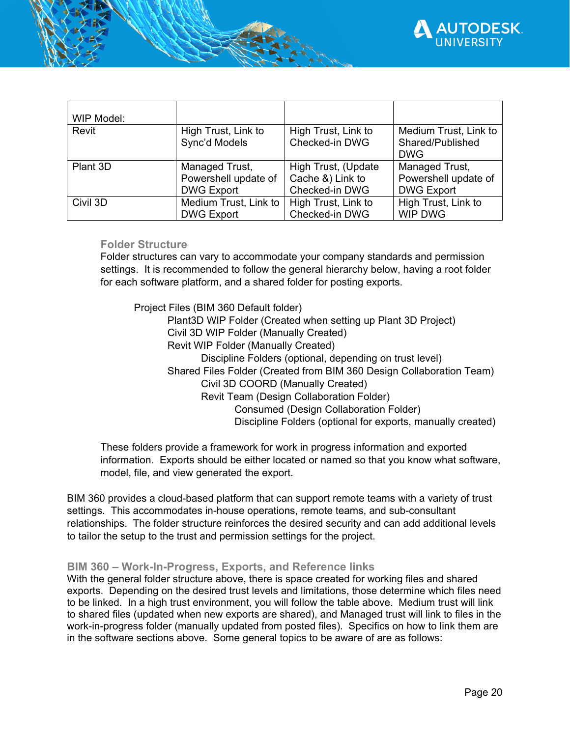

| WIP Model: |                                      |                                       |                                                         |
|------------|--------------------------------------|---------------------------------------|---------------------------------------------------------|
| Revit      | High Trust, Link to<br>Sync'd Models | High Trust, Link to<br>Checked-in DWG | Medium Trust, Link to<br>Shared/Published<br><b>DWG</b> |
| Plant 3D   | Managed Trust,                       | High Trust, (Update                   | Managed Trust,                                          |
|            | Powershell update of                 | Cache &) Link to                      | Powershell update of                                    |
|            | <b>DWG Export</b>                    | Checked-in DWG                        | <b>DWG Export</b>                                       |
| Civil 3D   | Medium Trust, Link to                | High Trust, Link to                   | High Trust, Link to                                     |
|            | <b>DWG Export</b>                    | Checked-in DWG                        | <b>WIP DWG</b>                                          |

## **Folder Structure**

Folder structures can vary to accommodate your company standards and permission settings. It is recommended to follow the general hierarchy below, having a root folder for each software platform, and a shared folder for posting exports.

Project Files (BIM 360 Default folder) Plant3D WIP Folder (Created when setting up Plant 3D Project) Civil 3D WIP Folder (Manually Created) Revit WIP Folder (Manually Created) Discipline Folders (optional, depending on trust level) Shared Files Folder (Created from BIM 360 Design Collaboration Team) Civil 3D COORD (Manually Created) Revit Team (Design Collaboration Folder) Consumed (Design Collaboration Folder) Discipline Folders (optional for exports, manually created)

These folders provide a framework for work in progress information and exported information. Exports should be either located or named so that you know what software, model, file, and view generated the export.

BIM 360 provides a cloud-based platform that can support remote teams with a variety of trust settings. This accommodates in-house operations, remote teams, and sub-consultant relationships. The folder structure reinforces the desired security and can add additional levels to tailor the setup to the trust and permission settings for the project.

# **BIM 360 – Work-In-Progress, Exports, and Reference links**

With the general folder structure above, there is space created for working files and shared exports. Depending on the desired trust levels and limitations, those determine which files need to be linked. In a high trust environment, you will follow the table above. Medium trust will link to shared files (updated when new exports are shared), and Managed trust will link to files in the work-in-progress folder (manually updated from posted files). Specifics on how to link them are in the software sections above. Some general topics to be aware of are as follows: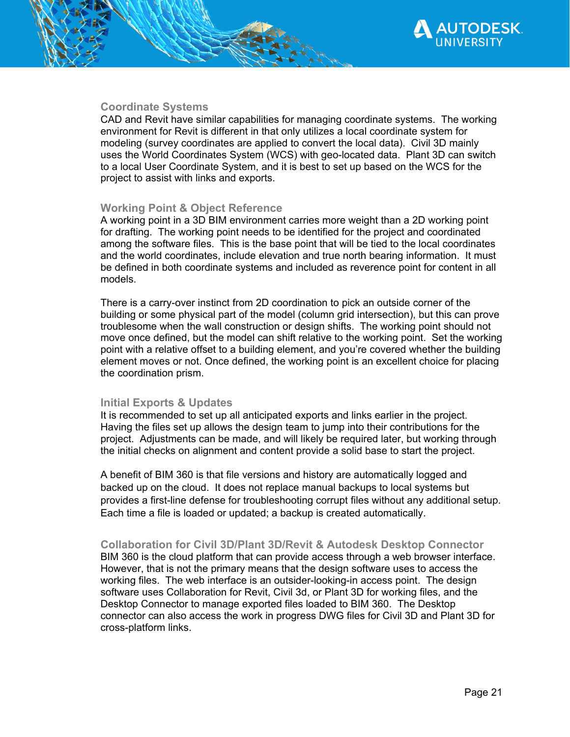

# **Coordinate Systems**

CAD and Revit have similar capabilities for managing coordinate systems. The working environment for Revit is different in that only utilizes a local coordinate system for modeling (survey coordinates are applied to convert the local data). Civil 3D mainly uses the World Coordinates System (WCS) with geo-located data. Plant 3D can switch to a local User Coordinate System, and it is best to set up based on the WCS for the project to assist with links and exports.

# **Working Point & Object Reference**

A working point in a 3D BIM environment carries more weight than a 2D working point for drafting. The working point needs to be identified for the project and coordinated among the software files. This is the base point that will be tied to the local coordinates and the world coordinates, include elevation and true north bearing information. It must be defined in both coordinate systems and included as reverence point for content in all models.

There is a carry-over instinct from 2D coordination to pick an outside corner of the building or some physical part of the model (column grid intersection), but this can prove troublesome when the wall construction or design shifts. The working point should not move once defined, but the model can shift relative to the working point. Set the working point with a relative offset to a building element, and you're covered whether the building element moves or not. Once defined, the working point is an excellent choice for placing the coordination prism.

#### **Initial Exports & Updates**

It is recommended to set up all anticipated exports and links earlier in the project. Having the files set up allows the design team to jump into their contributions for the project. Adjustments can be made, and will likely be required later, but working through the initial checks on alignment and content provide a solid base to start the project.

A benefit of BIM 360 is that file versions and history are automatically logged and backed up on the cloud. It does not replace manual backups to local systems but provides a first-line defense for troubleshooting corrupt files without any additional setup. Each time a file is loaded or updated; a backup is created automatically.

# **Collaboration for Civil 3D/Plant 3D/Revit & Autodesk Desktop Connector**

BIM 360 is the cloud platform that can provide access through a web browser interface. However, that is not the primary means that the design software uses to access the working files. The web interface is an outsider-looking-in access point. The design software uses Collaboration for Revit, Civil 3d, or Plant 3D for working files, and the Desktop Connector to manage exported files loaded to BIM 360. The Desktop connector can also access the work in progress DWG files for Civil 3D and Plant 3D for cross-platform links.